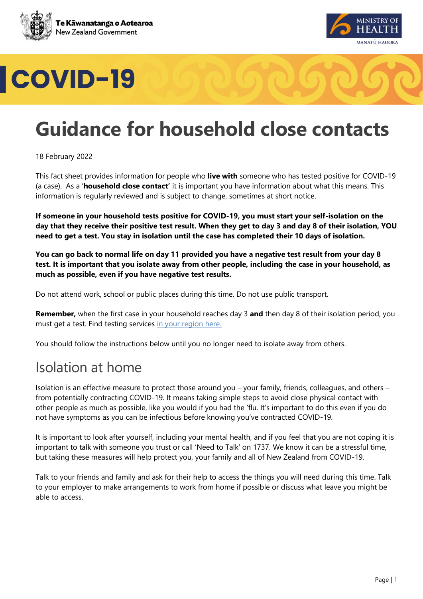





# **Guidance for household close contacts**

18 February 2022

This fact sheet provides information for people who **live with** someone who has tested positive for COVID-19 (a case). As a '**household close contact'** it is important you have information about what this means. This information is regularly reviewed and is subject to change, sometimes at short notice.

**If someone in your household tests positive for COVID-19, you must start your self-isolation on the day that they receive their positive test result. When they get to day 3 and day 8 of their isolation, YOU need to get a test. You stay in isolation until the case has completed their 10 days of isolation.** 

**You can go back to normal life on day 11 provided you have a negative test result from your day 8 test. It is important that you isolate away from other people, including the case in your household, as much as possible, even if you have negative test results.** 

Do not attend work, school or public places during this time. Do not use public transport.

**Remember,** when the first case in your household reaches day 3 **and** then day 8 of their isolation period, you must get a test. Find testing services [in your region here.](https://www.healthpoint.co.nz/covid-19/)

You should follow the instructions below until you no longer need to isolate away from others.

### Isolation at home

Isolation is an effective measure to protect those around you – your family, friends, colleagues, and others – from potentially contracting COVID-19. It means taking simple steps to avoid close physical contact with other people as much as possible, like you would if you had the 'flu. It's important to do this even if you do not have symptoms as you can be infectious before knowing you've contracted COVID-19.

It is important to look after yourself, including your mental health, and if you feel that you are not coping it is important to talk with someone you trust or call 'Need to Talk' on 1737. We know it can be a stressful time, but taking these measures will help protect you, your family and all of New Zealand from COVID-19.

Talk to your friends and family and ask for their help to access the things you will need during this time. Talk to your employer to make arrangements to work from home if possible or discuss what leave you might be able to access.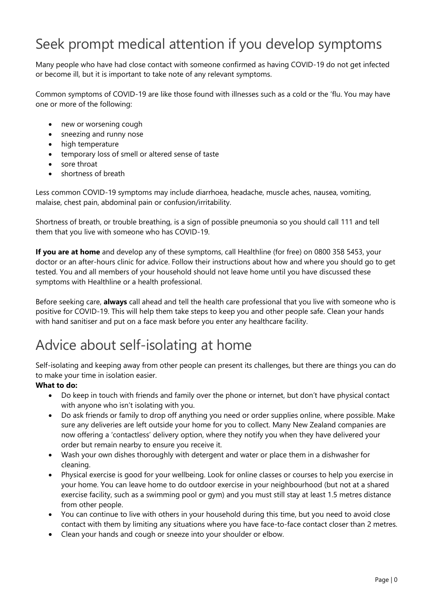### Seek prompt medical attention if you develop symptoms

Many people who have had close contact with someone confirmed as having COVID-19 do not get infected or become ill, but it is important to take note of any relevant symptoms.

Common symptoms of COVID-19 are like those found with illnesses such as a cold or the 'flu. You may have one or more of the following:

- new or worsening cough
- sneezing and runny nose
- high temperature
- temporary loss of smell or altered sense of taste
- sore throat
- shortness of breath

Less common COVID-19 symptoms may include diarrhoea, headache, muscle aches, nausea, vomiting, malaise, chest pain, abdominal pain or confusion/irritability.

Shortness of breath, or trouble breathing, is a sign of possible pneumonia so you should call 111 and tell them that you live with someone who has COVID-19.

**If you are at home** and develop any of these symptoms, call Healthline (for free) on 0800 358 5453, your doctor or an after-hours clinic for advice. Follow their instructions about how and where you should go to get tested. You and all members of your household should not leave home until you have discussed these symptoms with Healthline or a health professional.

Before seeking care, **always** call ahead and tell the health care professional that you live with someone who is positive for COVID-19. This will help them take steps to keep you and other people safe. Clean your hands with hand sanitiser and put on a face mask before you enter any healthcare facility.

### Advice about self-isolating at home

Self-isolating and keeping away from other people can present its challenges, but there are things you can do to make your time in isolation easier.

#### **What to do:**

- Do keep in touch with friends and family over the phone or internet, but don't have physical contact with anyone who isn't isolating with you.
- Do ask friends or family to drop off anything you need or order supplies online, where possible. Make sure any deliveries are left outside your home for you to collect. Many New Zealand companies are now offering a 'contactless' delivery option, where they notify you when they have delivered your order but remain nearby to ensure you receive it.
- Wash your own dishes thoroughly with detergent and water or place them in a dishwasher for cleaning.
- Physical exercise is good for your wellbeing. Look for online classes or courses to help you exercise in your home. You can leave home to do outdoor exercise in your neighbourhood (but not at a shared exercise facility, such as a swimming pool or gym) and you must still stay at least 1.5 metres distance from other people.
- You can continue to live with others in your household during this time, but you need to avoid close contact with them by limiting any situations where you have face-to-face contact closer than 2 metres.
- Clean your hands and cough or sneeze into your shoulder or elbow.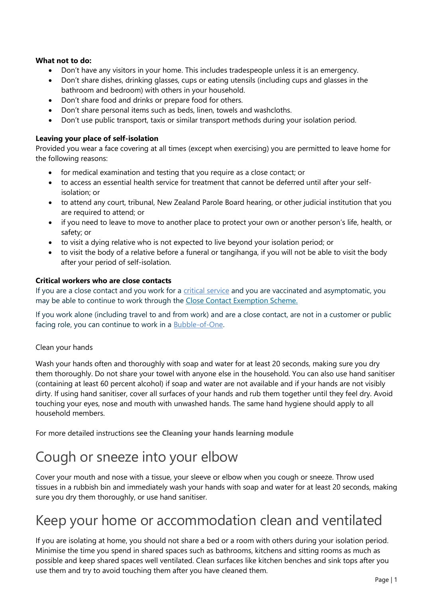#### **What not to do:**

- Don't have any visitors in your home. This includes tradespeople unless it is an emergency.
- Don't share dishes, drinking glasses, cups or eating utensils (including cups and glasses in the bathroom and bedroom) with others in your household.
- Don't share food and drinks or prepare food for others.
- Don't share personal items such as beds, linen, towels and washcloths.
- Don't use public transport, taxis or similar transport methods during your isolation period.

#### **Leaving your place of self-isolation**

Provided you wear a face covering at all times (except when exercising) you are permitted to leave home for the following reasons:

- for medical examination and testing that you require as a close contact; or
- to access an essential health service for treatment that cannot be deferred until after your selfisolation; or
- to attend any court, tribunal, New Zealand Parole Board hearing, or other judicial institution that you are required to attend; or
- if you need to leave to move to another place to protect your own or another person's life, health, or safety; or
- to visit a dying relative who is not expected to live beyond your isolation period; or
- to visit the body of a relative before a funeral or tangihanga, if you will not be able to visit the body after your period of self-isolation.

#### **Critical workers who are close contacts**

If you are a close contact and you work for a [critical service](https://www.health.govt.nz/covid-19-novel-coronavirus/covid-19-health-advice-public/assessment-and-testing-covid-19/rapid-antigen-testing#critical) and you are vaccinated and asymptomatic, you may be able to continue to work through the [Close Contact Exemption Scheme.](https://www.business.govt.nz/covid-19/close-contact-exemption-scheme/#e-29078) 

If you work alone (including travel to and from work) and are a close contact, are not in a customer or public facing role, you can continue to work in a [Bubble-of-One.](https://www.business.govt.nz/covid-19/close-contact-exemption-scheme/)

#### Clean your hands

Wash your hands often and thoroughly with soap and water for at least 20 seconds, making sure you dry them thoroughly. Do not share your towel with anyone else in the household. You can also use hand sanitiser (containing at least 60 percent alcohol) if soap and water are not available and if your hands are not visibly dirty. If using hand sanitiser, cover all surfaces of your hands and rub them together until they feel dry. Avoid touching your eyes, nose and mouth with unwashed hands. The same hand hygiene should apply to all household members.

For more detailed instructions see the **[Cleaning your hands learning module](http://www.learnonline.health.nz/course/view.php?id=400)**

### Cough or sneeze into your elbow

Cover your mouth and nose with a tissue, your sleeve or elbow when you cough or sneeze. Throw used tissues in a rubbish bin and immediately wash your hands with soap and water for at least 20 seconds, making sure you dry them thoroughly, or use hand sanitiser.

### Keep your home or accommodation clean and ventilated

If you are isolating at home, you should not share a bed or a room with others during your isolation period. Minimise the time you spend in shared spaces such as bathrooms, kitchens and sitting rooms as much as possible and keep shared spaces well ventilated. Clean surfaces like kitchen benches and sink tops after you use them and try to avoid touching them after you have cleaned them.